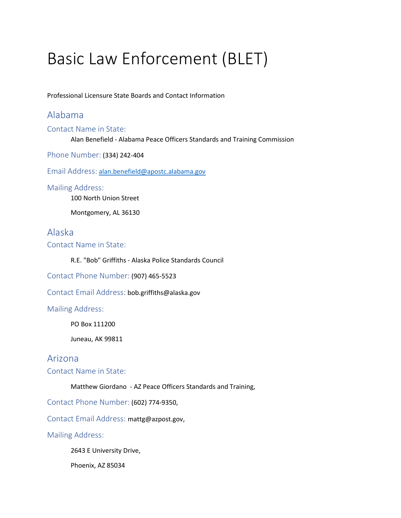# Basic Law Enforcement (BLET)

Professional Licensure State Boards and Contact Information

# Alabama

Contact Name in State:

Alan Benefield - Alabama Peace Officers Standards and Training Commission

Phone Number: (334) 242-404

Email Address: [alan.benefield@apostc.alabama.gov](mailto:alan.benefield@apostc.alabama.gov)

### Mailing Address:

100 North Union Street

Montgomery, AL 36130

### Alaska

Contact Name in State:

R.E. "Bob" Griffiths - Alaska Police Standards Council

Contact Phone Number: (907) 465-5523

Contact Email Address: bob.griffiths@alaska.gov

### Mailing Address:

PO Box 111200

Juneau, AK 99811

### Arizona

Contact Name in State:

Matthew Giordano - AZ Peace Officers Standards and Training,

Contact Phone Number: (602) 774-9350,

Contact Email Address: mattg@azpost.gov,

Mailing Address:

2643 E University Drive,

Phoenix, AZ 85034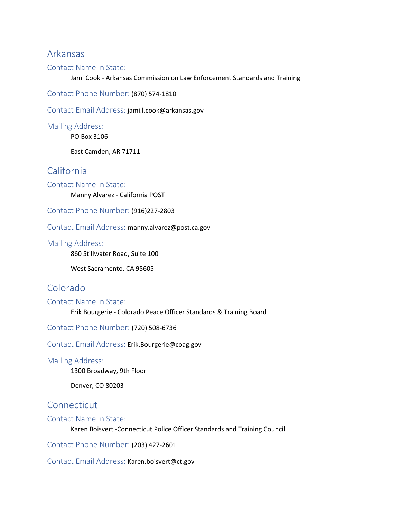### Arkansas

### Contact Name in State:

Jami Cook - Arkansas Commission on Law Enforcement Standards and Training

Contact Phone Number: (870) 574-1810

Contact Email Address: jami.l.cook@arkansas.gov

Mailing Address:

PO Box 3106

East Camden, AR 71711

# California

Contact Name in State: Manny Alvarez - California POST

Contact Phone Number: (916)227-2803

Contact Email Address: manny.alvarez@post.ca.gov

#### Mailing Address:

860 Stillwater Road, Suite 100

West Sacramento, CA 95605

# Colorado

### Contact Name in State:

Erik Bourgerie - Colorado Peace Officer Standards & Training Board

Contact Phone Number: (720) 508-6736

Contact Email Address: Erik.Bourgerie@coag.gov

#### Mailing Address:

1300 Broadway, 9th Floor

Denver, CO 80203

# Connecticut

### Contact Name in State:

Karen Boisvert -Connecticut Police Officer Standards and Training Council

Contact Phone Number: (203) 427-2601

Contact Email Address: Karen.boisvert@ct.gov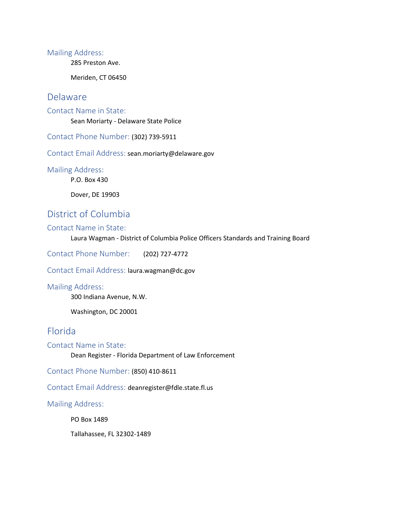285 Preston Ave.

Meriden, CT 06450

### Delaware

Contact Name in State:

Sean Moriarty - Delaware State Police

Contact Phone Number: (302) 739-5911

Contact Email Address: sean.moriarty@delaware.gov

Mailing Address:

P.O. Box 430

Dover, DE 19903

# District of Columbia

#### Contact Name in State:

Laura Wagman - District of Columbia Police Officers Standards and Training Board

Contact Phone Number: (202) 727-4772

Contact Email Address: laura.wagman@dc.gov

#### Mailing Address:

300 Indiana Avenue, N.W.

Washington, DC 20001

### Florida

Contact Name in State:

Dean Register - Florida Department of Law Enforcement

Contact Phone Number: (850) 410-8611

Contact Email Address: deanregister@fdle.state.fl.us

Mailing Address:

PO Box 1489

Tallahassee, FL 32302-1489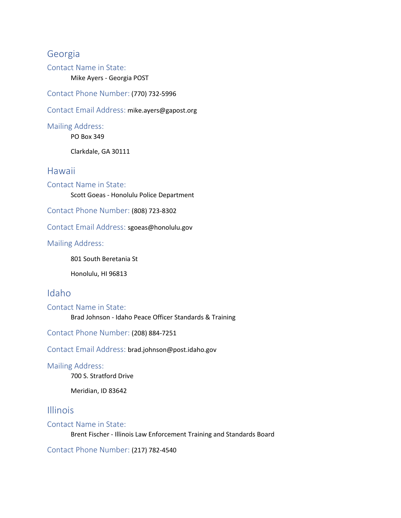# Georgia

Contact Name in State:

Mike Ayers - Georgia POST

Contact Phone Number: (770) 732-5996

Contact Email Address: mike.ayers@gapost.org

Mailing Address:

PO Box 349

Clarkdale, GA 30111

### Hawaii

Contact Name in State: Scott Goeas - Honolulu Police Department

Contact Phone Number: (808) 723-8302

Contact Email Address: sgoeas@honolulu.gov

### Mailing Address:

801 South Beretania St

Honolulu, HI 96813

# Idaho

Contact Name in State:

Brad Johnson - Idaho Peace Officer Standards & Training

Contact Phone Number: (208) 884-7251

Contact Email Address: brad.johnson@post.idaho.gov

### Mailing Address:

700 S. Stratford Drive

Meridian, ID 83642

### Illinois

### Contact Name in State:

Brent Fischer - Illinois Law Enforcement Training and Standards Board

Contact Phone Number: (217) 782-4540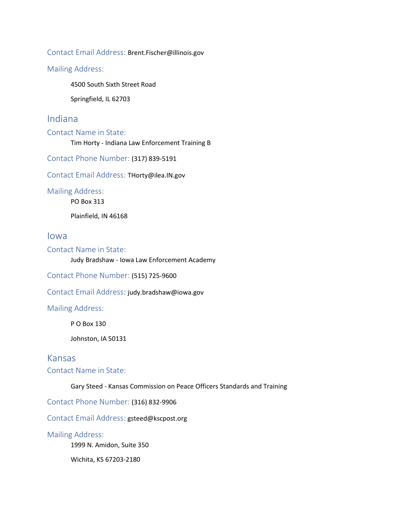Contact Email Address: Brent.Fischer@illinois.gov

Mailing Address:

4500 South Sixth Street Road

Springfield, IL 62703

# Indiana

Contact Name in State:

Tim Horty - Indiana Law Enforcement Training B

Contact Phone Number: (317) 839-5191

Contact Email Address: THorty@ilea.IN.gov

Mailing Address:

PO Box 313

Plainfield, IN 46168

Iowa

Contact Name in State:

Judy Bradshaw - Iowa Law Enforcement Academy

Contact Phone Number: (515) 725-9600

Contact Email Address: judy.bradshaw@iowa.gov

Mailing Address:

P O Box 130

Johnston, IA 50131

### Kansas

Contact Name in State:

Gary Steed - Kansas Commission on Peace Officers Standards and Training

Contact Phone Number: (316) 832-9906

Contact Email Address: gsteed@kscpost.org

Mailing Address:

1999 N. Amidon, Suite 350

Wichita, KS 67203-2180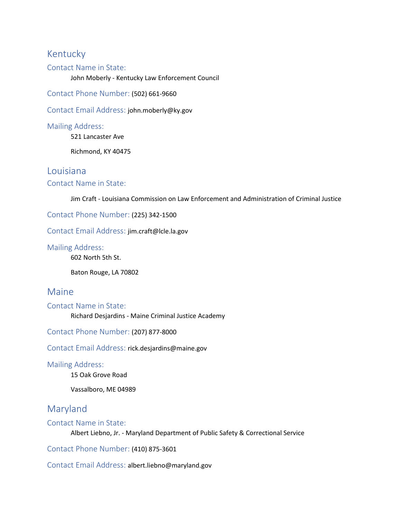# Kentucky

### Contact Name in State:

John Moberly - Kentucky Law Enforcement Council

Contact Phone Number: (502) 661-9660

Contact Email Address: john.moberly@ky.gov

Mailing Address:

521 Lancaster Ave

Richmond, KY 40475

### Louisiana

### Contact Name in State:

Jim Craft - Louisiana Commission on Law Enforcement and Administration of Criminal Justice

Contact Phone Number: (225) 342-1500

Contact Email Address: jim.craft@lcle.la.gov

Mailing Address:

602 North 5th St.

Baton Rouge, LA 70802

### Maine

Contact Name in State:

Richard Desjardins - Maine Criminal Justice Academy

Contact Phone Number: (207) 877-8000

Contact Email Address: rick.desjardins@maine.gov

### Mailing Address:

15 Oak Grove Road

Vassalboro, ME 04989

# Maryland

Contact Name in State:

Albert Liebno, Jr. - Maryland Department of Public Safety & Correctional Service

Contact Phone Number: (410) 875-3601

Contact Email Address: albert.liebno@maryland.gov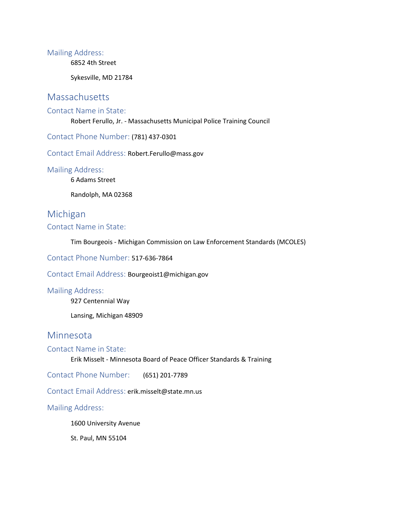6852 4th Street

Sykesville, MD 21784

# **Massachusetts**

### Contact Name in State:

Robert Ferullo, Jr. - Massachusetts Municipal Police Training Council

Contact Phone Number: (781) 437-0301

Contact Email Address: Robert.Ferullo@mass.gov

Mailing Address:

6 Adams Street

Randolph, MA 02368

# Michigan

### Contact Name in State:

Tim Bourgeois - Michigan Commission on Law Enforcement Standards (MCOLES)

Contact Phone Number: 517-636-7864

Contact Email Address: Bourgeoist1@michigan.gov

#### Mailing Address:

927 Centennial Way

Lansing, Michigan 48909

# Minnesota

### Contact Name in State:

Erik Misselt - Minnesota Board of Peace Officer Standards & Training

Contact Phone Number: (651) 201-7789

Contact Email Address: erik.misselt@state.mn.us

### Mailing Address:

1600 University Avenue

St. Paul, MN 55104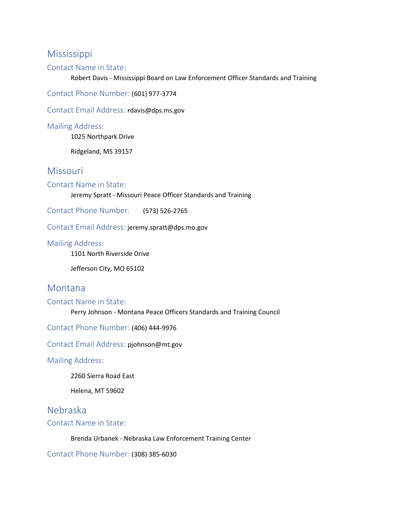# Mississippi

### Contact Name in State:

Robert Davis - Mississippi Board on Law Enforcement Officer Standards and Training

Contact Phone Number: (601) 977-3774

Contact Email Address: rdavis@dps.ms.gov

Mailing Address:

1025 Northpark Drive

Ridgeland, MS 39157

### **Missouri**

### Contact Name in State:

Jeremy Spratt - Missouri Peace Officer Standards and Training

Contact Phone Number: (573) 526-2765

Contact Email Address: jeremy.spratt@dps.mo.gov

#### Mailing Address:

1101 North Riverside Drive

Jefferson City, MO 65102

### Montana

### Contact Name in State:

Perry Johnson - Montana Peace Officers Standards and Training Council

Contact Phone Number: (406) 444-9976

Contact Email Address: pjohnson@mt.gov

Mailing Address:

2260 Sierra Road East

Helena, MT 59602

# Nebraska

### Contact Name in State:

Brenda Urbanek - Nebraska Law Enforcement Training Center

Contact Phone Number: (308) 385-6030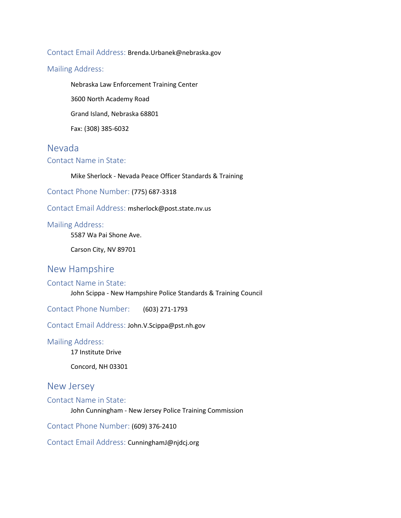### Contact Email Address: Brenda.Urbanek@nebraska.gov

### Mailing Address:

Nebraska Law Enforcement Training Center

3600 North Academy Road

Grand Island, Nebraska 68801

Fax: (308) 385-6032

### Nevada

### Contact Name in State:

Mike Sherlock - Nevada Peace Officer Standards & Training

Contact Phone Number: (775) 687-3318

Contact Email Address: msherlock@post.state.nv.us

### Mailing Address:

5587 Wa Pai Shone Ave.

Carson City, NV 89701

# New Hampshire

#### Contact Name in State:

John Scippa - New Hampshire Police Standards & Training Council

Contact Phone Number: (603) 271-1793

Contact Email Address: John.V.Scippa@pst.nh.gov

### Mailing Address:

17 Institute Drive

Concord, NH 03301

### New Jersey

Contact Name in State:

John Cunningham - New Jersey Police Training Commission

Contact Phone Number: (609) 376-2410

Contact Email Address: CunninghamJ@njdcj.org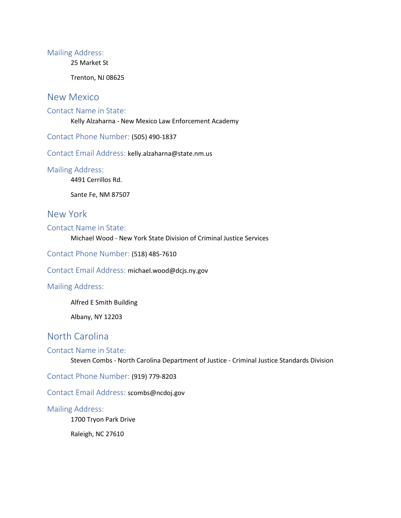25 Market St

Trenton, NJ 08625

### New Mexico

### Contact Name in State:

Kelly Alzaharna - New Mexico Law Enforcement Academy

Contact Phone Number: (505) 490-1837

Contact Email Address: kelly.alzaharna@state.nm.us

Mailing Address:

4491 Cerrillos Rd.

Sante Fe, NM 87507

### New York

Contact Name in State:

Michael Wood - New York State Division of Criminal Justice Services

Contact Phone Number: (518) 485-7610

Contact Email Address: michael.wood@dcjs.ny.gov

#### Mailing Address:

Alfred E Smith Building

Albany, NY 12203

# North Carolina

#### Contact Name in State:

Steven Combs - North Carolina Department of Justice - Criminal Justice Standards Division

Contact Phone Number: (919) 779-8203

Contact Email Address: scombs@ncdoj.gov

#### Mailing Address:

1700 Tryon Park Drive

Raleigh, NC 27610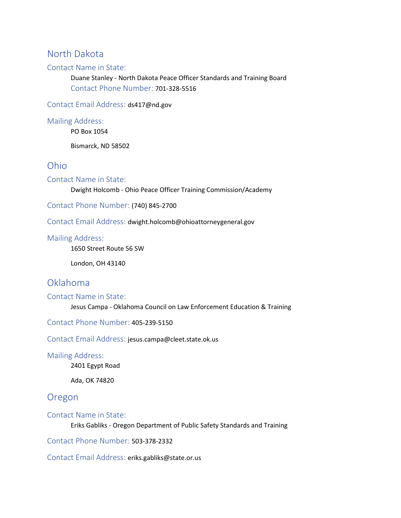# North Dakota

### Contact Name in State:

Duane Stanley - North Dakota Peace Officer Standards and Training Board Contact Phone Number: 701-328-5516

Contact Email Address: ds417@nd.gov

Mailing Address:

PO Box 1054

Bismarck, ND 58502

### Ohio

Contact Name in State:

Dwight Holcomb - Ohio Peace Officer Training Commission/Academy

Contact Phone Number: (740) 845-2700

Contact Email Address: dwight.holcomb@ohioattorneygeneral.gov

#### Mailing Address:

1650 Street Route 56 SW

London, OH 43140

# Oklahoma

### Contact Name in State:

Jesus Campa - Oklahoma Council on Law Enforcement Education & Training

Contact Phone Number: 405-239-5150

Contact Email Address: jesus.campa@cleet.state.ok.us

#### Mailing Address:

2401 Egypt Road

Ada, OK 74820

### Oregon

### Contact Name in State:

Eriks Gabliks - Oregon Department of Public Safety Standards and Training

Contact Phone Number: 503-378-2332

Contact Email Address: eriks.gabliks@state.or.us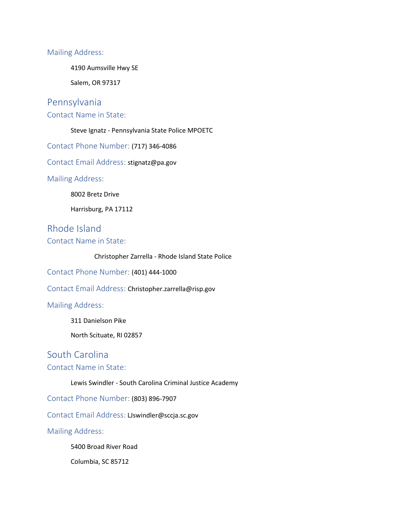4190 Aumsville Hwy SE

Salem, OR 97317

# Pennsylvania

Contact Name in State:

Steve Ignatz - Pennsylvania State Police MPOETC

Contact Phone Number: (717) 346-4086

Contact Email Address: stignatz@pa.gov

Mailing Address:

8002 Bretz Drive

Harrisburg, PA 17112

Rhode Island

Contact Name in State:

Christopher Zarrella - Rhode Island State Police

Contact Phone Number: (401) 444-1000

Contact Email Address: Christopher.zarrella@risp.gov

Mailing Address:

311 Danielson Pike

North Scituate, RI 02857

# South Carolina

### Contact Name in State:

Lewis Swindler - South Carolina Criminal Justice Academy

Contact Phone Number: (803) 896-7907

Contact Email Address: LJswindler@sccja.sc.gov

Mailing Address:

5400 Broad River Road

Columbia, SC 85712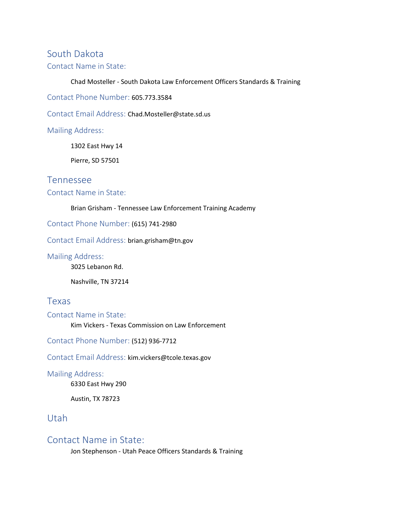# South Dakota Contact Name in State:

Chad Mosteller - South Dakota Law Enforcement Officers Standards & Training

Contact Phone Number: 605.773.3584

Contact Email Address: Chad.Mosteller@state.sd.us

Mailing Address:

1302 East Hwy 14

Pierre, SD 57501

### Tennessee

### Contact Name in State:

#### Brian Grisham - Tennessee Law Enforcement Training Academy

Contact Phone Number: (615) 741-2980

Contact Email Address: brian.grisham@tn.gov

Mailing Address:

3025 Lebanon Rd.

Nashville, TN 37214

### Texas

Contact Name in State: Kim Vickers - Texas Commission on Law Enforcement

Contact Phone Number: (512) 936-7712

Contact Email Address: kim.vickers@tcole.texas.gov

Mailing Address:

6330 East Hwy 290

Austin, TX 78723

# Utah

### Contact Name in State:

Jon Stephenson - Utah Peace Officers Standards & Training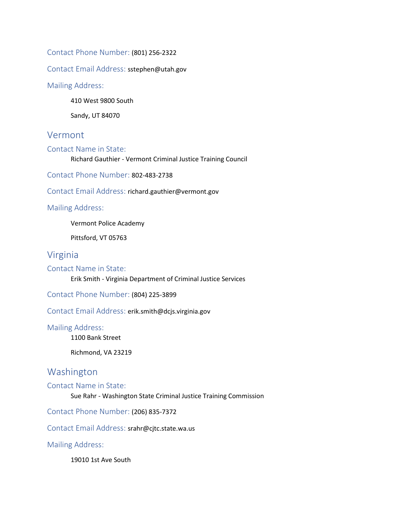Contact Phone Number: (801) 256-2322

Contact Email Address: sstephen@utah.gov

#### Mailing Address:

410 West 9800 South

Sandy, UT 84070

### Vermont

#### Contact Name in State:

Richard Gauthier - Vermont Criminal Justice Training Council

Contact Phone Number: 802-483-2738

Contact Email Address: richard.gauthier@vermont.gov

Mailing Address:

Vermont Police Academy

Pittsford, VT 05763

# Virginia

Contact Name in State:

Erik Smith - Virginia Department of Criminal Justice Services

Contact Phone Number: (804) 225-3899

Contact Email Address: erik.smith@dcjs.virginia.gov

#### Mailing Address:

1100 Bank Street

Richmond, VA 23219

# Washington

#### Contact Name in State:

Sue Rahr - Washington State Criminal Justice Training Commission

Contact Phone Number: (206) 835-7372

Contact Email Address: srahr@cjtc.state.wa.us

Mailing Address:

19010 1st Ave South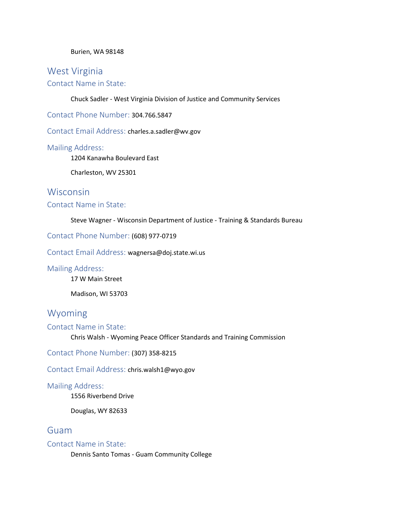#### Burien, WA 98148

# West Virginia Contact Name in State:

Chuck Sadler - West Virginia Division of Justice and Community Services

Contact Phone Number: 304.766.5847

Contact Email Address: charles.a.sadler@wv.gov

#### Mailing Address:

1204 Kanawha Boulevard East

Charleston, WV 25301

# **Wisconsin**

### Contact Name in State:

#### Steve Wagner - Wisconsin Department of Justice - Training & Standards Bureau

### Contact Phone Number: (608) 977-0719

Contact Email Address: wagnersa@doj.state.wi.us

### Mailing Address:

17 W Main Street

Madison, WI 53703

# Wyoming

### Contact Name in State:

Chris Walsh - Wyoming Peace Officer Standards and Training Commission

Contact Phone Number: (307) 358-8215

Contact Email Address: chris.walsh1@wyo.gov

### Mailing Address:

1556 Riverbend Drive

Douglas, WY 82633

### Guam

### Contact Name in State:

Dennis Santo Tomas - Guam Community College